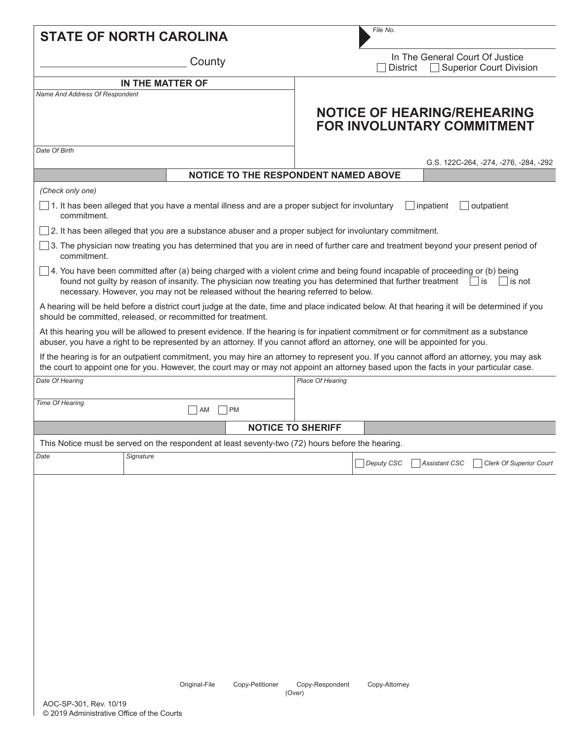| <b>STATE OF NORTH CAROLINA</b> |                                                                                                                                                                                                                                                                                                                                           |                                      | File No.                  |                                                                        |                  |                                                                         |  |
|--------------------------------|-------------------------------------------------------------------------------------------------------------------------------------------------------------------------------------------------------------------------------------------------------------------------------------------------------------------------------------------|--------------------------------------|---------------------------|------------------------------------------------------------------------|------------------|-------------------------------------------------------------------------|--|
| County                         |                                                                                                                                                                                                                                                                                                                                           |                                      |                           | In The General Court Of Justice<br>Superior Court Division<br>District |                  |                                                                         |  |
|                                | IN THE MATTER OF                                                                                                                                                                                                                                                                                                                          |                                      |                           |                                                                        |                  |                                                                         |  |
| Name And Address Of Respondent |                                                                                                                                                                                                                                                                                                                                           |                                      |                           |                                                                        |                  | <b>NOTICE OF HEARING/REHEARING</b><br><b>FOR INVOLUNTARY COMMITMENT</b> |  |
| Date Of Birth                  |                                                                                                                                                                                                                                                                                                                                           |                                      |                           |                                                                        |                  | G.S. 122C-264, -274, -276, -284, -292                                   |  |
|                                |                                                                                                                                                                                                                                                                                                                                           | NOTICE TO THE RESPONDENT NAMED ABOVE |                           |                                                                        |                  |                                                                         |  |
| (Check only one)               |                                                                                                                                                                                                                                                                                                                                           |                                      |                           |                                                                        |                  |                                                                         |  |
| commitment.                    | 1. It has been alleged that you have a mental illness and are a proper subject for involuntary                                                                                                                                                                                                                                            |                                      |                           |                                                                        | $\Box$ inpatient | outpatient                                                              |  |
|                                | 2. It has been alleged that you are a substance abuser and a proper subject for involuntary commitment.                                                                                                                                                                                                                                   |                                      |                           |                                                                        |                  |                                                                         |  |
| commitment.                    | $\Box$ 3. The physician now treating you has determined that you are in need of further care and treatment beyond your present period of                                                                                                                                                                                                  |                                      |                           |                                                                        |                  |                                                                         |  |
|                                | $\Box$ 4. You have been committed after (a) being charged with a violent crime and being found incapable of proceeding or (b) being<br>found not guilty by reason of insanity. The physician now treating you has determined that further treatment<br>necessary. However, you may not be released without the hearing referred to below. |                                      |                           |                                                                        |                  | $\vert \ \vert$ is<br>$\vert$ is not                                    |  |
|                                | A hearing will be held before a district court judge at the date, time and place indicated below. At that hearing it will be determined if you<br>should be committed, released, or recommitted for treatment.                                                                                                                            |                                      |                           |                                                                        |                  |                                                                         |  |
|                                | At this hearing you will be allowed to present evidence. If the hearing is for inpatient commitment or for commitment as a substance<br>abuser, you have a right to be represented by an attorney. If you cannot afford an attorney, one will be appointed for you.                                                                       |                                      |                           |                                                                        |                  |                                                                         |  |
|                                | If the hearing is for an outpatient commitment, you may hire an attorney to represent you. If you cannot afford an attorney, you may ask<br>the court to appoint one for you. However, the court may or may not appoint an attorney based upon the facts in your particular case.                                                         |                                      |                           |                                                                        |                  |                                                                         |  |
| Date Of Hearing                |                                                                                                                                                                                                                                                                                                                                           |                                      | Place Of Hearing          |                                                                        |                  |                                                                         |  |
| Time Of Hearing                | AM                                                                                                                                                                                                                                                                                                                                        | <b>PM</b>                            |                           |                                                                        |                  |                                                                         |  |
|                                |                                                                                                                                                                                                                                                                                                                                           |                                      | <b>NOTICE TO SHERIFF</b>  |                                                                        |                  |                                                                         |  |
|                                | This Notice must be served on the respondent at least seventy-two (72) hours before the hearing.                                                                                                                                                                                                                                          |                                      |                           |                                                                        |                  |                                                                         |  |
| Date                           | Signature                                                                                                                                                                                                                                                                                                                                 |                                      |                           | Deputy CSC                                                             | Assistant CSC    | <b>Clerk Of Superior Court</b>                                          |  |
|                                |                                                                                                                                                                                                                                                                                                                                           |                                      |                           |                                                                        |                  |                                                                         |  |
|                                |                                                                                                                                                                                                                                                                                                                                           |                                      |                           |                                                                        |                  |                                                                         |  |
|                                |                                                                                                                                                                                                                                                                                                                                           |                                      |                           |                                                                        |                  |                                                                         |  |
|                                |                                                                                                                                                                                                                                                                                                                                           |                                      |                           |                                                                        |                  |                                                                         |  |
|                                |                                                                                                                                                                                                                                                                                                                                           |                                      |                           |                                                                        |                  |                                                                         |  |
|                                |                                                                                                                                                                                                                                                                                                                                           |                                      |                           |                                                                        |                  |                                                                         |  |
|                                |                                                                                                                                                                                                                                                                                                                                           |                                      |                           |                                                                        |                  |                                                                         |  |
|                                |                                                                                                                                                                                                                                                                                                                                           |                                      |                           |                                                                        |                  |                                                                         |  |
|                                |                                                                                                                                                                                                                                                                                                                                           |                                      |                           |                                                                        |                  |                                                                         |  |
|                                |                                                                                                                                                                                                                                                                                                                                           |                                      |                           |                                                                        |                  |                                                                         |  |
|                                |                                                                                                                                                                                                                                                                                                                                           |                                      |                           |                                                                        |                  |                                                                         |  |
|                                |                                                                                                                                                                                                                                                                                                                                           |                                      |                           |                                                                        |                  |                                                                         |  |
|                                | Original-File                                                                                                                                                                                                                                                                                                                             | Copy-Petitioner                      | Copy-Respondent<br>(Over) | Copy-Attorney                                                          |                  |                                                                         |  |